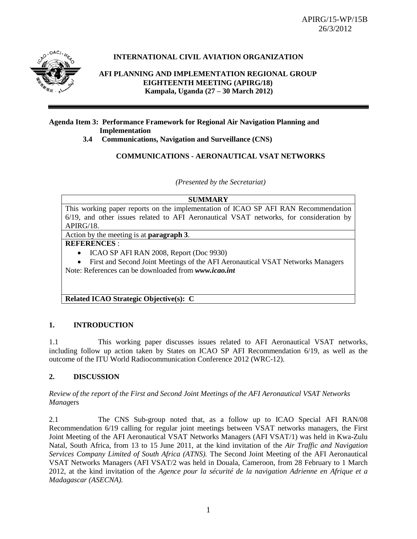

## **INTERNATIONAL CIVIL AVIATION ORGANIZATION**

### **AFI PLANNING AND IMPLEMENTATION REGIONAL GROUP EIGHTEENTH MEETING (APIRG/18) Kampala, Uganda (27 – 30 March 2012)**

### **Agenda Item 3: Performance Framework for Regional Air Navigation Planning and Implementation**

 **3.4 Communications, Navigation and Surveillance (CNS)**

### **COMMUNICATIONS - AERONAUTICAL VSAT NETWORKS**

*(Presented by the Secretariat)*

#### **SUMMARY**

This working paper reports on the implementation of ICAO SP AFI RAN Recommendation 6/19, and other issues related to AFI Aeronautical VSAT networks, for consideration by APIRG/18.

Action by the meeting is at **paragraph 3**.

### **REFERENCES** :

• ICAO SP AFI RAN 2008, Report (Doc 9930)

 First and Second Joint Meetings of the AFI Aeronautical VSAT Networks Managers Note: References can be downloaded from *www.icao.int*

### **Related ICAO Strategic Objective(s): C**

### **1. INTRODUCTION**

1.1 This working paper discusses issues related to AFI Aeronautical VSAT networks, including follow up action taken by States on ICAO SP AFI Recommendation 6/19, as well as the outcome of the ITU World Radiocommunication Conference 2012 (WRC-12).

### **2. DISCUSSION**

### *Review of the report of the First and Second Joint Meetings of the AFI Aeronautical VSAT Networks Manag*ers

2.1 The CNS Sub-group noted that, as a follow up to ICAO Special AFI RAN/08 Recommendation 6/19 calling for regular joint meetings between VSAT networks managers, the First Joint Meeting of the AFI Aeronautical VSAT Networks Managers (AFI VSAT/1) was held in Kwa-Zulu Natal, South Africa, from 13 to 15 June 2011, at the kind invitation of the *Air Traffic and Navigation Services Company Limited of South Africa (ATNS).* The Second Joint Meeting of the AFI Aeronautical VSAT Networks Managers (AFI VSAT/2 was held in Douala, Cameroon, from 28 February to 1 March 2012, at the kind invitation of the *Agence pour la sécurité de la navigation Adrienne en Afrique et a Madagascar (ASECNA).*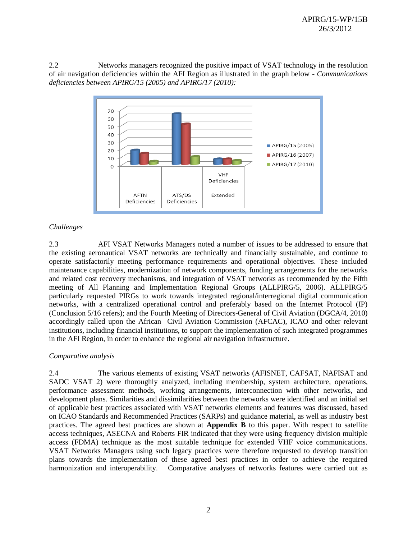2.2 Networks managers recognized the positive impact of VSAT technology in the resolution of air navigation deficiencies within the AFI Region as illustrated in the graph below *- Communications deficiencies between APIRG/15 (2005) and APIRG/17 (2010):*



### *Challenges*

2.3 AFI VSAT Networks Managers noted a number of issues to be addressed to ensure that the existing aeronautical VSAT networks are technically and financially sustainable, and continue to operate satisfactorily meeting performance requirements and operational objectives. These included maintenance capabilities, modernization of network components, funding arrangements for the networks and related cost recovery mechanisms, and integration of VSAT networks as recommended by the Fifth meeting of All Planning and Implementation Regional Groups (ALLPIRG/5, 2006). ALLPIRG/5 particularly requested PIRGs to work towards integrated regional/interregional digital communication networks, with a centralized operational control and preferably based on the Internet Protocol (IP) (Conclusion 5/16 refers); and the Fourth Meeting of Directors-General of Civil Aviation (DGCA/4, 2010) accordingly called upon the African Civil Aviation Commission (AFCAC), ICAO and other relevant institutions, including financial institutions, to support the implementation of such integrated programmes in the AFI Region, in order to enhance the regional air navigation infrastructure.

### *Comparative analysis*

2.4 The various elements of existing VSAT networks (AFISNET, CAFSAT, NAFISAT and SADC VSAT 2) were thoroughly analyzed, including membership, system architecture, operations, performance assessment methods, working arrangements, interconnection with other networks, and development plans. Similarities and dissimilarities between the networks were identified and an initial set of applicable best practices associated with VSAT networks elements and features was discussed, based on ICAO Standards and Recommended Practices (SARPs) and guidance material, as well as industry best practices. The agreed best practices are shown at **Appendix B** to this paper. With respect to satellite access techniques, ASECNA and Roberts FIR indicated that they were using frequency division multiple access (FDMA) technique as the most suitable technique for extended VHF voice communications. VSAT Networks Managers using such legacy practices were therefore requested to develop transition plans towards the implementation of these agreed best practices in order to achieve the required harmonization and interoperability. Comparative analyses of networks features were carried out as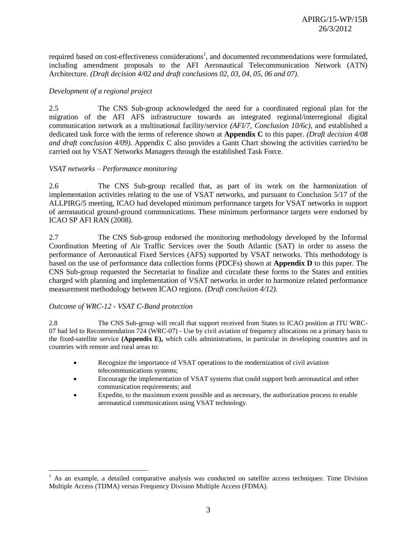required based on cost-effectiveness considerations<sup>1</sup>, and documented recommendations were formulated, including amendment proposals to the AFI Aeronautical Telecommunication Network (ATN) Architecture. *(Draft decision 4/02 and draft conclusions 02, 03, 04, 05, 06 and 07).*

#### *Development of a regional project*

2.5 The CNS Sub-group acknowledged the need for a coordinated regional plan for the migration of the AFI AFS infrastructure towards an integrated regional/interregional digital communication network as a multinational facility/service *(AFI/7, Conclusion 10/6c)*, and established a dedicated task force with the terms of reference shown at **Appendix C** to this paper. *(Draft decision 4/08 and draft conclusion 4/09).* Appendix C also provides a Gantt Chart showing the activities carried/to be carried out by VSAT Networks Managers through the established Task Force.

#### *VSAT networks – Performance monitoring*

2.6 The CNS Sub-group recalled that, as part of its work on the harmonization of implementation activities relating to the use of VSAT networks, and pursuant to Conclusion 5/17 of the ALLPIRG/5 meeting, ICAO had developed minimum performance targets for VSAT networks in support of aeronautical ground-ground communications. These minimum performance targets were endorsed by ICAO SP AFI RAN (2008).

2.7 The CNS Sub-group endorsed the monitoring methodology developed by the Informal Coordination Meeting of Air Traffic Services over the South Atlantic (SAT) in order to assess the performance of Aeronautical Fixed Services (AFS) supported by VSAT networks. This methodology is based on the use of performance data collection forms (PDCFs) shown at **Appendix D** to this paper. The CNS Sub-group requested the Secretariat to finalize and circulate these forms to the States and entities charged with planning and implementation of VSAT networks in order to harmonize related performance measurement methodology between ICAO regions. *(Draft conclusion 4/12).*

#### *Outcome of WRC-12 - VSAT C-Band protection*

 $\overline{a}$ 

2.8 The CNS Sub-group will recall that support received from States to ICAO position at ITU WRC-07 had led to Recommendation 724 (WRC-07) - Use by civil aviation of frequency allocations on a primary basis to the fixed-satellite service **(Appendix E),** which calls administrations, in particular in developing countries and in countries with remote and rural areas to:

- Recognize the importance of VSAT operations to the modernization of civil aviation telecommunications systems;
- Encourage the implementation of VSAT systems that could support both aeronautical and other communication requirements; and
- Expedite, to the maximum extent possible and as necessary, the authorization process to enable aeronautical communications using VSAT technology.

<sup>&</sup>lt;sup>1</sup> As an example, a detailed comparative analysis was conducted on satellite access techniques: Time Division Multiple Access (TDMA) versus Frequency Division Multiple Access (FDMA).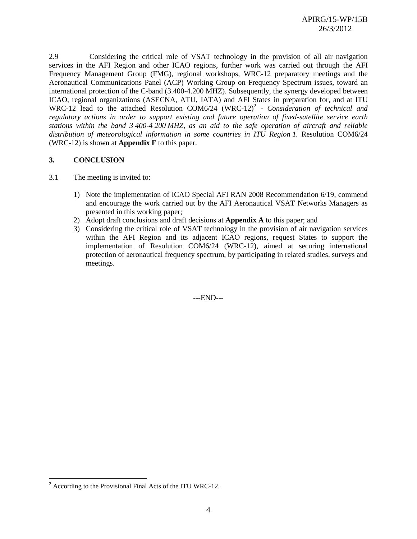2.9 Considering the critical role of VSAT technology in the provision of all air navigation services in the AFI Region and other ICAO regions, further work was carried out through the AFI Frequency Management Group (FMG), regional workshops, WRC-12 preparatory meetings and the Aeronautical Communications Panel (ACP) Working Group on Frequency Spectrum issues, toward an international protection of the C-band (3.400-4.200 MHZ). Subsequently, the synergy developed between ICAO, regional organizations (ASECNA, ATU, IATA) and AFI States in preparation for, and at ITU WRC-12 lead to the attached Resolution COM6/24 (WRC-12)<sup>2</sup> - *Consideration of technical and regulatory actions in order to support existing and future operation of fixed-satellite service earth stations within the band 3 400-4 200 MHZ, as an aid to the safe operation of aircraft and reliable distribution of meteorological information in some countries in ITU Region 1.* Resolution COM6/24 (WRC-12) is shown at **Appendix F** to this paper.

### **3. CONCLUSION**

- 3.1 The meeting is invited to:
	- 1) Note the implementation of ICAO Special AFI RAN 2008 Recommendation 6/19, commend and encourage the work carried out by the AFI Aeronautical VSAT Networks Managers as presented in this working paper;
	- 2) Adopt draft conclusions and draft decisions at **Appendix A** to this paper; and
	- 3) Considering the critical role of VSAT technology in the provision of air navigation services within the AFI Region and its adjacent ICAO regions, request States to support the implementation of Resolution COM6/24 (WRC-12), aimed at securing international protection of aeronautical frequency spectrum, by participating in related studies, surveys and meetings.

---END---

 $\overline{a}$ 

 $2 \text{ According to the Provisional Final Acts of the ITU WRC-12.}$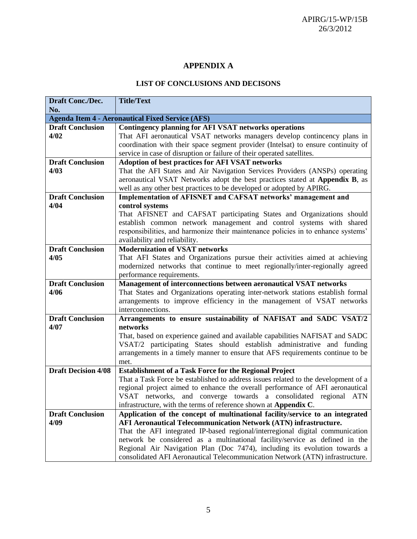# **APPENDIX A**

## **LIST OF CONCLUSIONS AND DECISONS**

| Draft Conc./Dec.           | <b>Title/Text</b>                                                                      |
|----------------------------|----------------------------------------------------------------------------------------|
| No.                        |                                                                                        |
|                            | <b>Agenda Item 4 - Aeronautical Fixed Service (AFS)</b>                                |
| <b>Draft Conclusion</b>    | <b>Contingency planning for AFI VSAT networks operations</b>                           |
| 4/02                       | That AFI aeronautical VSAT networks managers develop contineency plans in              |
|                            | coordination with their space segment provider (Intelsat) to ensure continuity of      |
|                            | service in case of disruption or failure of their operated satellites.                 |
| <b>Draft Conclusion</b>    | <b>Adoption of best practices for AFI VSAT networks</b>                                |
| 4/03                       | That the AFI States and Air Navigation Services Providers (ANSPs) operating            |
|                            | aeronautical VSAT Networks adopt the best practices stated at Appendix B, as           |
|                            | well as any other best practices to be developed or adopted by APIRG.                  |
| <b>Draft Conclusion</b>    | Implementation of AFISNET and CAFSAT networks' management and                          |
| 4/04                       | control systems                                                                        |
|                            | That AFISNET and CAFSAT participating States and Organizations should                  |
|                            | establish common network management and control systems with shared                    |
|                            | responsibilities, and harmonize their maintenance policies in to enhance systems'      |
|                            | availability and reliability.                                                          |
| <b>Draft Conclusion</b>    | <b>Modernization of VSAT networks</b>                                                  |
| 4/05                       | That AFI States and Organizations pursue their activities aimed at achieving           |
|                            | modernized networks that continue to meet regionally/inter-regionally agreed           |
|                            | performance requirements.                                                              |
| <b>Draft Conclusion</b>    | Management of interconnections between aeronautical VSAT networks                      |
| 4/06                       | That States and Organizations operating inter-network stations establish formal        |
|                            | arrangements to improve efficiency in the management of VSAT networks                  |
|                            | interconnections.                                                                      |
| <b>Draft Conclusion</b>    | Arrangements to ensure sustainability of NAFISAT and SADC VSAT/2                       |
| 4/07                       | networks                                                                               |
|                            | That, based on experience gained and available capabilities NAFISAT and SADC           |
|                            | VSAT/2 participating States should establish administrative and funding                |
|                            | arrangements in a timely manner to ensure that AFS requirements continue to be<br>met. |
| <b>Draft Decision 4/08</b> | <b>Establishment of a Task Force for the Regional Project</b>                          |
|                            | That a Task Force be established to address issues related to the development of a     |
|                            | regional project aimed to enhance the overall performance of AFI aeronautical          |
|                            | VSAT networks, and converge towards a consolidated regional ATN                        |
|                            | infrastructure, with the terms of reference shown at Appendix C.                       |
| <b>Draft Conclusion</b>    | Application of the concept of multinational facility/service to an integrated          |
| 4/09                       | <b>AFI Aeronautical Telecommunication Network (ATN) infrastructure.</b>                |
|                            | That the AFI integrated IP-based regional/interregional digital communication          |
|                            | network be considered as a multinational facility/service as defined in the            |
|                            | Regional Air Navigation Plan (Doc 7474), including its evolution towards a             |
|                            | consolidated AFI Aeronautical Telecommunication Network (ATN) infrastructure.          |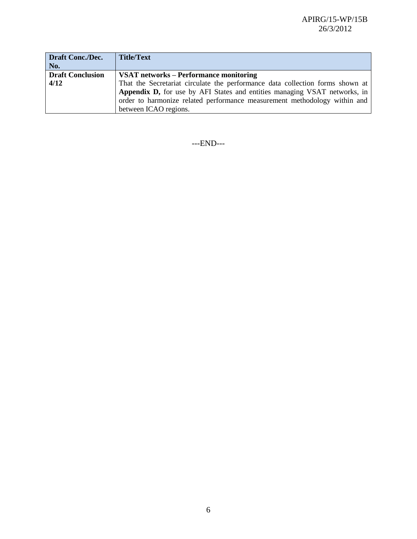| <b>Draft Conc./Dec.</b> | <b>Title/Text</b>                                                             |
|-------------------------|-------------------------------------------------------------------------------|
| No.                     |                                                                               |
| <b>Draft Conclusion</b> | VSAT networks – Performance monitoring                                        |
| 4/12                    | That the Secretariat circulate the performance data collection forms shown at |
|                         | Appendix D, for use by AFI States and entities managing VSAT networks, in     |
|                         | order to harmonize related performance measurement methodology within and     |
|                         | between ICAO regions.                                                         |

---END---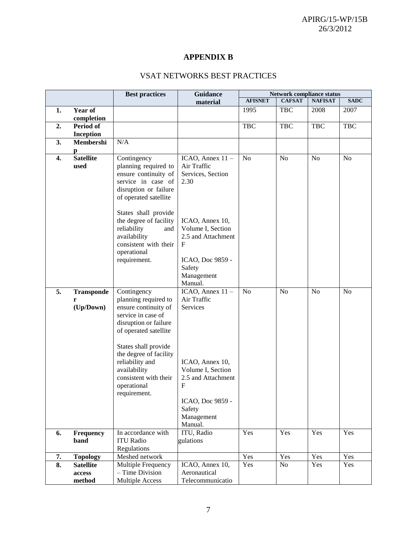# **APPENDIX B**

# VSAT NETWORKS BEST PRACTICES

| <b>Network compliance status</b><br><b>Guidance</b><br><b>Best practices</b>                                                                                                                                                                                                                                                                                                                                                                                                                                                           |                |                |  |  |  |
|----------------------------------------------------------------------------------------------------------------------------------------------------------------------------------------------------------------------------------------------------------------------------------------------------------------------------------------------------------------------------------------------------------------------------------------------------------------------------------------------------------------------------------------|----------------|----------------|--|--|--|
| <b>AFISNET</b><br><b>CAFSAT</b><br>material                                                                                                                                                                                                                                                                                                                                                                                                                                                                                            | <b>NAFISAT</b> | <b>SADC</b>    |  |  |  |
| Year of<br>1.<br>1995<br><b>TBC</b>                                                                                                                                                                                                                                                                                                                                                                                                                                                                                                    | 2008           | 2007           |  |  |  |
| completion                                                                                                                                                                                                                                                                                                                                                                                                                                                                                                                             |                |                |  |  |  |
| Period of<br><b>TBC</b><br><b>TBC</b><br>2.                                                                                                                                                                                                                                                                                                                                                                                                                                                                                            | <b>TBC</b>     | <b>TBC</b>     |  |  |  |
| <b>Inception</b>                                                                                                                                                                                                                                                                                                                                                                                                                                                                                                                       |                |                |  |  |  |
| 3.<br>Membershi<br>N/A                                                                                                                                                                                                                                                                                                                                                                                                                                                                                                                 |                |                |  |  |  |
| р                                                                                                                                                                                                                                                                                                                                                                                                                                                                                                                                      |                |                |  |  |  |
| <b>Satellite</b><br>4.<br>Contingency<br>N <sub>o</sub><br>N <sub>o</sub><br>ICAO, Annex $11 -$<br>planning required to<br>Air Traffic<br>used<br>ensure continuity of<br>Services, Section<br>service in case of<br>2.30<br>disruption or failure<br>of operated satellite<br>States shall provide<br>the degree of facility<br>ICAO, Annex 10,<br>reliability<br>Volume I, Section<br>and<br>availability<br>2.5 and Attachment<br>consistent with their<br>$\mathbf F$<br>operational<br>requirement.<br>ICAO, Doc 9859 -<br>Safety | N <sub>o</sub> | N <sub>o</sub> |  |  |  |
| Management                                                                                                                                                                                                                                                                                                                                                                                                                                                                                                                             |                |                |  |  |  |
| Manual.                                                                                                                                                                                                                                                                                                                                                                                                                                                                                                                                |                |                |  |  |  |
| 5.<br>ICAO, Annex $11 -$<br>No<br>No<br>Contingency<br><b>Transponde</b>                                                                                                                                                                                                                                                                                                                                                                                                                                                               | N <sub>o</sub> | N <sub>o</sub> |  |  |  |
| planning required to<br>Air Traffic<br>r                                                                                                                                                                                                                                                                                                                                                                                                                                                                                               |                |                |  |  |  |
| (Up/Down)<br>ensure continuity of<br>Services<br>service in case of<br>disruption or failure<br>of operated satellite                                                                                                                                                                                                                                                                                                                                                                                                                  |                |                |  |  |  |
| States shall provide<br>the degree of facility<br>reliability and<br>ICAO, Annex 10,<br>Volume I, Section<br>availability<br>consistent with their<br>2.5 and Attachment<br>$\mathbf{F}$<br>operational<br>requirement.<br>ICAO, Doc 9859 -                                                                                                                                                                                                                                                                                            |                |                |  |  |  |
| Safety<br>Management                                                                                                                                                                                                                                                                                                                                                                                                                                                                                                                   |                |                |  |  |  |
| Manual.                                                                                                                                                                                                                                                                                                                                                                                                                                                                                                                                |                |                |  |  |  |
| Yes<br>ITU, Radio<br>Yes<br>Frequency<br>In accordance with<br>6.                                                                                                                                                                                                                                                                                                                                                                                                                                                                      | Yes            | Yes            |  |  |  |
| <b>ITU Radio</b><br>gulations<br>band                                                                                                                                                                                                                                                                                                                                                                                                                                                                                                  |                |                |  |  |  |
| Regulations                                                                                                                                                                                                                                                                                                                                                                                                                                                                                                                            |                |                |  |  |  |
| Yes<br>Yes<br>7.<br><b>Topology</b><br>Meshed network                                                                                                                                                                                                                                                                                                                                                                                                                                                                                  | Yes            | Yes            |  |  |  |
| 8.<br>Yes<br>No<br><b>Satellite</b><br>ICAO, Annex 10,<br>Multiple Frequency<br>- Time Division<br>Aeronautical<br>access                                                                                                                                                                                                                                                                                                                                                                                                              | Yes            | Yes            |  |  |  |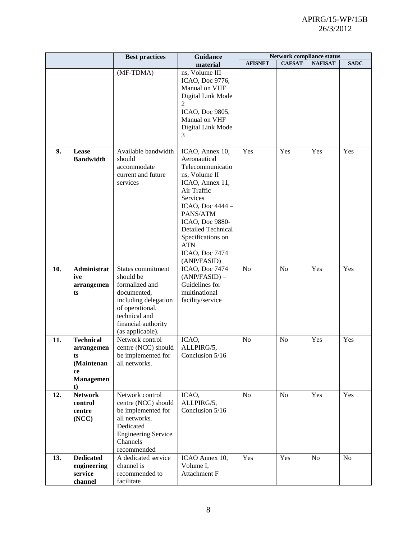## APIRG/15-WP/15B 26/3/2012

|     |                                                                                    | <b>Best practices</b>                                                                                                                                                  | <b>Guidance</b>                                                                                                                                                                                                                                                        |                | Network compliance status |                |                |  |  |
|-----|------------------------------------------------------------------------------------|------------------------------------------------------------------------------------------------------------------------------------------------------------------------|------------------------------------------------------------------------------------------------------------------------------------------------------------------------------------------------------------------------------------------------------------------------|----------------|---------------------------|----------------|----------------|--|--|
|     |                                                                                    |                                                                                                                                                                        | material                                                                                                                                                                                                                                                               | <b>AFISNET</b> | <b>CAFSAT</b>             | <b>NAFISAT</b> | <b>SADC</b>    |  |  |
|     |                                                                                    | (MF-TDMA)                                                                                                                                                              | ns, Volume III<br>ICAO, Doc 9776,<br>Manual on VHF<br>Digital Link Mode<br>$\overline{2}$<br>ICAO, Doc 9805,<br>Manual on VHF<br>Digital Link Mode<br>3                                                                                                                |                |                           |                |                |  |  |
| 9.  | Lease<br><b>Bandwidth</b>                                                          | Available bandwidth<br>should<br>accommodate<br>current and future<br>services                                                                                         | ICAO, Annex 10,<br>Aeronautical<br>Telecommunicatio<br>ns, Volume II<br>ICAO, Annex 11,<br>Air Traffic<br>Services<br>ICAO, Doc 4444 -<br>PANS/ATM<br>ICAO, Doc 9880-<br><b>Detailed Technical</b><br>Specifications on<br><b>ATN</b><br>ICAO, Doc 7474<br>(ANP/FASID) |                | Yes                       | Yes            | Yes            |  |  |
| 10. | Administrat<br>ive<br>arrangemen<br>ts                                             | States commitment<br>should be<br>formalized and<br>documented,<br>including delegation<br>of operational,<br>technical and<br>financial authority<br>(as applicable). | ICAO, Doc 7474<br>$(ANP/FASTD)$ –<br>Guidelines for<br>multinational<br>facility/service                                                                                                                                                                               | N <sub>o</sub> | N <sub>o</sub>            | Yes            | Yes            |  |  |
| 11. | <b>Technical</b><br>arrangemen<br>ts<br>(Maintenan<br>ce<br><b>Managemen</b><br>t) | Network control<br>centre (NCC) should<br>be implemented for<br>all networks.                                                                                          | ICAO,<br>ALLPIRG/5,<br>Conclusion 5/16                                                                                                                                                                                                                                 | N <sub>o</sub> | N <sub>o</sub>            | Yes            | Yes            |  |  |
| 12. | <b>Network</b><br>control<br>centre<br>(NCC)                                       | Network control<br>centre (NCC) should<br>be implemented for<br>all networks.<br>Dedicated<br><b>Engineering Service</b><br>Channels<br>recommended                    | ICAO,<br>ALLPIRG/5,<br>Conclusion 5/16                                                                                                                                                                                                                                 | N <sub>o</sub> | N <sub>o</sub>            | Yes            | Yes            |  |  |
| 13. | <b>Dedicated</b><br>engineering<br>service<br>channel                              | A dedicated service<br>channel is<br>recommended to<br>facilitate                                                                                                      | ICAO Annex 10,<br>Volume I,<br>Attachment F                                                                                                                                                                                                                            | Yes            | Yes                       | N <sub>o</sub> | N <sub>o</sub> |  |  |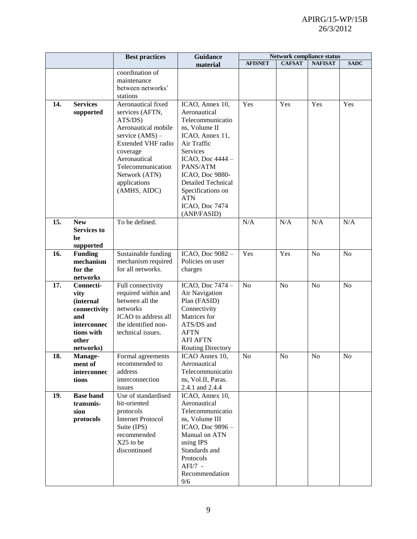|                   |                                       | <b>Best practices</b>     | <b>Guidance</b>                            | <b>Network compliance status</b> |               |                |                |
|-------------------|---------------------------------------|---------------------------|--------------------------------------------|----------------------------------|---------------|----------------|----------------|
|                   |                                       |                           | material                                   | <b>AFISNET</b>                   | <b>CAFSAT</b> | <b>NAFISAT</b> | <b>SADC</b>    |
|                   |                                       | coordination of           |                                            |                                  |               |                |                |
|                   |                                       | maintenance               |                                            |                                  |               |                |                |
|                   |                                       | between networks'         |                                            |                                  |               |                |                |
|                   |                                       | stations                  |                                            |                                  |               |                |                |
| 14.               | <b>Services</b>                       | Aeronautical fixed        | ICAO, Annex 10,                            | Yes                              | Yes           | Yes            | Yes            |
|                   | supported                             | services (AFTN,           | Aeronautical                               |                                  |               |                |                |
|                   | ATS/DS)                               |                           | Telecommunicatio                           |                                  |               |                |                |
|                   |                                       | Aeronautical mobile       | ns, Volume II                              |                                  |               |                |                |
|                   |                                       | service $(AMS)$ –         | ICAO, Annex 11,                            |                                  |               |                |                |
|                   |                                       | <b>Extended VHF radio</b> | Air Traffic                                |                                  |               |                |                |
|                   |                                       | coverage                  | Services                                   |                                  |               |                |                |
|                   |                                       | Aeronautical              | ICAO, Doc 4444 -                           |                                  |               |                |                |
|                   |                                       | Telecommunication         | PANS/ATM                                   |                                  |               |                |                |
|                   |                                       | Network (ATN)             | ICAO, Doc 9880-                            |                                  |               |                |                |
|                   |                                       | applications              | <b>Detailed Technical</b>                  |                                  |               |                |                |
|                   |                                       | (AMHS, AIDC)              | Specifications on<br><b>ATN</b>            |                                  |               |                |                |
|                   |                                       |                           | ICAO, Doc 7474                             |                                  |               |                |                |
|                   |                                       |                           | (ANP/FASID)                                |                                  |               |                |                |
| 15.               | <b>New</b>                            | To be defined.            |                                            | N/A                              | N/A           | N/A            | N/A            |
|                   | <b>Services to</b>                    |                           |                                            |                                  |               |                |                |
|                   | be                                    |                           |                                            |                                  |               |                |                |
|                   | supported                             |                           |                                            |                                  |               |                |                |
| 16.               | <b>Funding</b>                        | Sustainable funding       | ICAO, Doc 9082 -                           | Yes                              | Yes           | N <sub>o</sub> | N <sub>o</sub> |
|                   | mechanism                             | mechanism required        | Policies on user                           |                                  |               |                |                |
|                   | for the                               | for all networks.         | charges                                    |                                  |               |                |                |
|                   | networks                              |                           |                                            |                                  |               |                |                |
| 17.               | Connecti-                             | Full connectivity         | ICAO, Doc 7474 -                           | N <sub>o</sub>                   | No            | N <sub>o</sub> | N <sub>o</sub> |
|                   | vity                                  | required within and       | Air Navigation                             |                                  |               |                |                |
|                   | (internal                             | between all the           | Plan (FASID)                               |                                  |               |                |                |
|                   | connectivity                          | networks                  | Connectivity                               |                                  |               |                |                |
|                   | and                                   | ICAO to address all       | Matrices for                               |                                  |               |                |                |
|                   | interconnec                           | the identified non-       | ATS/DS and                                 |                                  |               |                |                |
|                   | tions with                            | technical issues.         | <b>AFTN</b><br><b>AFI AFTN</b>             |                                  |               |                |                |
|                   | other<br>networks)                    |                           |                                            |                                  |               |                |                |
| 18.               |                                       | Formal agreements         | <b>Routing Directory</b><br>ICAO Annex 10, | No                               | No            | No             | No             |
|                   | Manage-<br>ment of                    | recommended to            | Aeronautical                               |                                  |               |                |                |
|                   | interconnec                           | address                   | Telecommunicatio                           |                                  |               |                |                |
|                   | tions                                 | interconnection           | ns, Vol.II, Paras.                         |                                  |               |                |                |
| issues            |                                       | 2.4.1 and 2.4.4           |                                            |                                  |               |                |                |
| 19.               | <b>Base band</b>                      | Use of standardised       | ICAO, Annex 10,                            |                                  |               |                |                |
|                   | transmis-                             | bit-oriented              | Aeronautical                               |                                  |               |                |                |
| sion<br>protocols |                                       | Telecommunicatio          |                                            |                                  |               |                |                |
|                   | protocols<br><b>Internet Protocol</b> |                           | ns, Volume III                             |                                  |               |                |                |
| Suite (IPS)       |                                       | ICAO, Doc 9896 -          |                                            |                                  |               |                |                |
| recommended       |                                       | Manual on ATN             |                                            |                                  |               |                |                |
|                   |                                       | X25 to be                 | using IPS                                  |                                  |               |                |                |
|                   |                                       | discontinued              | Standards and                              |                                  |               |                |                |
|                   |                                       |                           | Protocols                                  |                                  |               |                |                |
|                   |                                       |                           | $AFI/7 -$                                  |                                  |               |                |                |
|                   |                                       |                           |                                            |                                  |               |                |                |
|                   |                                       |                           | Recommendation<br>9/6                      |                                  |               |                |                |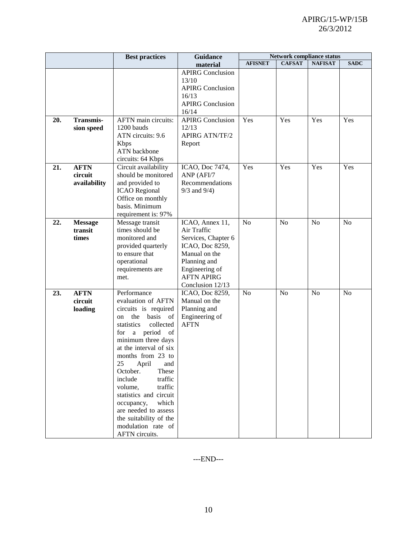|     |                                        | <b>Best practices</b>                                                                                                                                                                                                                                                                                                                                                                                                                | <b>Guidance</b>                                                                                                                                                      | <b>Network compliance status</b> |                |                |                |  |  |
|-----|----------------------------------------|--------------------------------------------------------------------------------------------------------------------------------------------------------------------------------------------------------------------------------------------------------------------------------------------------------------------------------------------------------------------------------------------------------------------------------------|----------------------------------------------------------------------------------------------------------------------------------------------------------------------|----------------------------------|----------------|----------------|----------------|--|--|
|     |                                        |                                                                                                                                                                                                                                                                                                                                                                                                                                      | material                                                                                                                                                             | <b>AFISNET</b>                   | <b>CAFSAT</b>  | <b>NAFISAT</b> | <b>SADC</b>    |  |  |
|     |                                        |                                                                                                                                                                                                                                                                                                                                                                                                                                      | <b>APIRG Conclusion</b><br>13/10<br><b>APIRG Conclusion</b><br>16/13<br><b>APIRG Conclusion</b><br>16/14                                                             |                                  |                |                |                |  |  |
| 20. | <b>Transmis-</b><br>sion speed         | AFTN main circuits:<br>1200 bauds<br>ATN circuits: 9.6<br><b>Kbps</b><br><b>ATN</b> backbone<br>circuits: 64 Kbps                                                                                                                                                                                                                                                                                                                    | <b>APIRG Conclusion</b><br>12/13<br><b>APIRG ATN/TF/2</b><br>Report                                                                                                  | Yes                              | Yes            | Yes            | Yes            |  |  |
| 21. | <b>AFTN</b><br>circuit<br>availability | Circuit availability<br>should be monitored<br>and provided to<br><b>ICAO</b> Regional<br>Office on monthly<br>basis. Minimum<br>requirement is: 97%                                                                                                                                                                                                                                                                                 | ICAO, Doc 7474,<br>ANP (AFI/7<br>Recommendations<br>$9/3$ and $9/4$ )                                                                                                | Yes                              | Yes            | Yes            | Yes            |  |  |
| 22. | <b>Message</b><br>transit<br>times     | Message transit<br>times should be<br>monitored and<br>provided quarterly<br>to ensure that<br>operational<br>requirements are<br>met.                                                                                                                                                                                                                                                                                               | ICAO, Annex 11,<br>Air Traffic<br>Services, Chapter 6<br>ICAO, Doc 8259,<br>Manual on the<br>Planning and<br>Engineering of<br><b>AFTN APIRG</b><br>Conclusion 12/13 | N <sub>o</sub>                   | N <sub>o</sub> | N <sub>o</sub> | N <sub>o</sub> |  |  |
| 23. | <b>AFTN</b><br>circuit<br>loading      | Performance<br>evaluation of AFTN<br>circuits is required<br>the basis of<br>on<br>collected<br>statistics<br>for a period of<br>minimum three days<br>at the interval of six<br>months from 23 to<br>25<br>April<br>and<br>October.<br>These<br>include<br>traffic<br>traffic<br>volume,<br>statistics and circuit<br>which<br>occupancy,<br>are needed to assess<br>the suitability of the<br>modulation rate of<br>AFTN circuits. | ICAO, Doc 8259,<br>Manual on the<br>Planning and<br>Engineering of<br><b>AFTN</b>                                                                                    | N <sub>o</sub>                   | N <sub>o</sub> | N <sub>o</sub> | No             |  |  |

---END---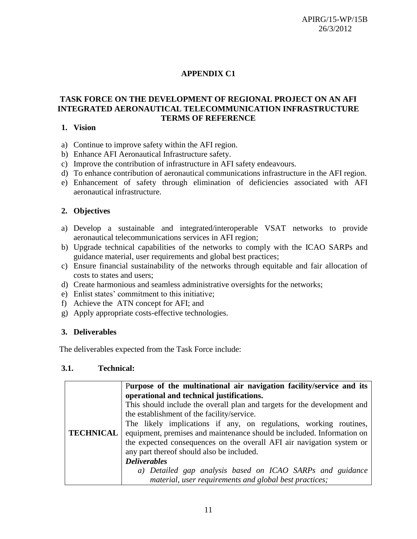# **APPENDIX C1**

## **TASK FORCE ON THE DEVELOPMENT OF REGIONAL PROJECT ON AN AFI INTEGRATED AERONAUTICAL TELECOMMUNICATION INFRASTRUCTURE TERMS OF REFERENCE**

### **1. Vision**

- a) Continue to improve safety within the AFI region.
- b) Enhance AFI Aeronautical Infrastructure safety.
- c) Improve the contribution of infrastructure in AFI safety endeavours.
- d) To enhance contribution of aeronautical communications infrastructure in the AFI region.
- e) Enhancement of safety through elimination of deficiencies associated with AFI aeronautical infrastructure.

## **2. Objectives**

- a) Develop a sustainable and integrated/interoperable VSAT networks to provide aeronautical telecommunications services in AFI region;
- b) Upgrade technical capabilities of the networks to comply with the ICAO SARPs and guidance material, user requirements and global best practices;
- c) Ensure financial sustainability of the networks through equitable and fair allocation of costs to states and users;
- d) Create harmonious and seamless administrative oversights for the networks;
- e) Enlist states' commitment to this initiative;
- f) Achieve the ATN concept for AFI; and
- g) Apply appropriate costs-effective technologies.

## **3. Deliverables**

The deliverables expected from the Task Force include:

### **3.1. Technical:**

|                  | Purpose of the multinational air navigation facility/service and its     |
|------------------|--------------------------------------------------------------------------|
|                  | operational and technical justifications.                                |
|                  | This should include the overall plan and targets for the development and |
|                  | the establishment of the facility/service.                               |
|                  | The likely implications if any, on regulations, working routines,        |
| <b>TECHNICAL</b> | equipment, premises and maintenance should be included. Information on   |
|                  | the expected consequences on the overall AFI air navigation system or    |
|                  | any part thereof should also be included.                                |
|                  | <b>Deliverables</b>                                                      |
|                  | a) Detailed gap analysis based on ICAO SARPs and guidance                |
|                  | material, user requirements and global best practices;                   |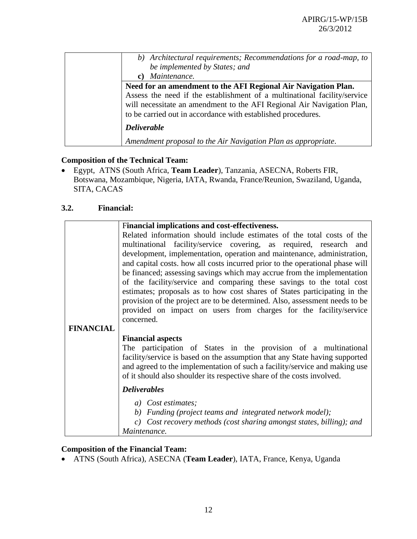| b) Architectural requirements; Recommendations for a road-map, to        |
|--------------------------------------------------------------------------|
| be implemented by States; and                                            |
| c) Maintenance.                                                          |
| Need for an amendment to the AFI Regional Air Navigation Plan.           |
| Assess the need if the establishment of a multinational facility/service |
| will necessitate an amendment to the AFI Regional Air Navigation Plan,   |
| to be carried out in accordance with established procedures.             |
| <b>Deliverable</b>                                                       |
| Amendment proposal to the Air Navigation Plan as appropriate.            |

# **Composition of the Technical Team:**

 Egypt, ATNS (South Africa, **Team Leader**), Tanzania, ASECNA, Roberts FIR, Botswana, Mozambique, Nigeria, IATA, Rwanda, France/Reunion, Swaziland, Uganda, SITA, CACAS

## **3.2. Financial:**

|                  | Financial implications and cost-effectiveness.                                                                                                           |  |  |  |  |  |  |  |  |  |  |
|------------------|----------------------------------------------------------------------------------------------------------------------------------------------------------|--|--|--|--|--|--|--|--|--|--|
|                  | Related information should include estimates of the total costs of the                                                                                   |  |  |  |  |  |  |  |  |  |  |
|                  | multinational facility/service covering, as required, research and                                                                                       |  |  |  |  |  |  |  |  |  |  |
|                  | development, implementation, operation and maintenance, administration,                                                                                  |  |  |  |  |  |  |  |  |  |  |
|                  | and capital costs. how all costs incurred prior to the operational phase will                                                                            |  |  |  |  |  |  |  |  |  |  |
|                  | be financed; assessing savings which may accrue from the implementation                                                                                  |  |  |  |  |  |  |  |  |  |  |
|                  | of the facility/service and comparing these savings to the total cost                                                                                    |  |  |  |  |  |  |  |  |  |  |
|                  | estimates; proposals as to how cost shares of States participating in the<br>provision of the project are to be determined. Also, assessment needs to be |  |  |  |  |  |  |  |  |  |  |
|                  | provided on impact on users from charges for the facility/service                                                                                        |  |  |  |  |  |  |  |  |  |  |
|                  | concerned.                                                                                                                                               |  |  |  |  |  |  |  |  |  |  |
| <b>FINANCIAL</b> |                                                                                                                                                          |  |  |  |  |  |  |  |  |  |  |
|                  | <b>Financial aspects</b>                                                                                                                                 |  |  |  |  |  |  |  |  |  |  |
|                  | The participation of States in the provision of a multinational                                                                                          |  |  |  |  |  |  |  |  |  |  |
|                  | facility/service is based on the assumption that any State having supported                                                                              |  |  |  |  |  |  |  |  |  |  |
|                  | and agreed to the implementation of such a facility/service and making use                                                                               |  |  |  |  |  |  |  |  |  |  |
|                  | of it should also shoulder its respective share of the costs involved.                                                                                   |  |  |  |  |  |  |  |  |  |  |
|                  | <b>Deliverables</b>                                                                                                                                      |  |  |  |  |  |  |  |  |  |  |
|                  | a) Cost estimates;                                                                                                                                       |  |  |  |  |  |  |  |  |  |  |
|                  | b) Funding (project teams and integrated network model);                                                                                                 |  |  |  |  |  |  |  |  |  |  |
|                  | c) Cost recovery methods (cost sharing amongst states, billing); and                                                                                     |  |  |  |  |  |  |  |  |  |  |
|                  | Maintenance.                                                                                                                                             |  |  |  |  |  |  |  |  |  |  |

# **Composition of the Financial Team:**

ATNS (South Africa), ASECNA (**Team Leader**), IATA, France, Kenya, Uganda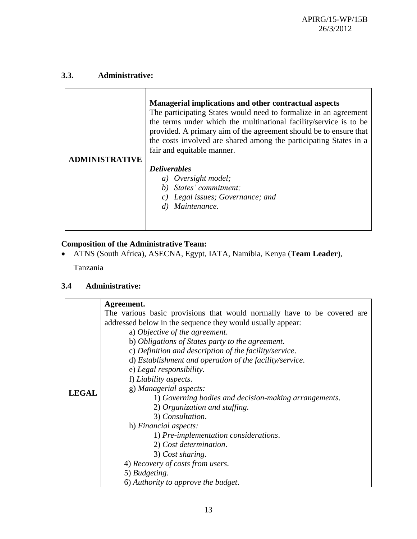# **3.3. Administrative:**

| DMINISTRATIVE | Managerial implications and other contractual aspects<br>The participating States would need to formalize in an agreement<br>the terms under which the multinational facility/service is to be<br>provided. A primary aim of the agreement should be to ensure that<br>the costs involved are shared among the participating States in a<br>fair and equitable manner. |
|---------------|------------------------------------------------------------------------------------------------------------------------------------------------------------------------------------------------------------------------------------------------------------------------------------------------------------------------------------------------------------------------|
|               | <b>Deliverables</b><br>a) Oversight model;<br>b) States' commitment;<br>c) Legal issues; Governance; and<br>Maintenance.                                                                                                                                                                                                                                               |

# **Composition of the Administrative Team:**

ATNS (South Africa), ASECNA, Egypt, IATA, Namibia, Kenya (**Team Leader**),

Tanzania

# **3.4 Administrative:**

|              | Agreement.                                                              |  |  |  |  |  |  |  |  |
|--------------|-------------------------------------------------------------------------|--|--|--|--|--|--|--|--|
|              | The various basic provisions that would normally have to be covered are |  |  |  |  |  |  |  |  |
|              | addressed below in the sequence they would usually appear.              |  |  |  |  |  |  |  |  |
|              | a) Objective of the agreement.                                          |  |  |  |  |  |  |  |  |
|              | b) Obligations of States party to the agreement.                        |  |  |  |  |  |  |  |  |
|              | c) Definition and description of the facility/service.                  |  |  |  |  |  |  |  |  |
|              | d) Establishment and operation of the facility/service.                 |  |  |  |  |  |  |  |  |
|              | e) Legal responsibility.                                                |  |  |  |  |  |  |  |  |
|              | f) Liability aspects.                                                   |  |  |  |  |  |  |  |  |
| <b>LEGAL</b> | g) Managerial aspects:                                                  |  |  |  |  |  |  |  |  |
|              | 1) Governing bodies and decision-making arrangements.                   |  |  |  |  |  |  |  |  |
|              | 2) Organization and staffing.                                           |  |  |  |  |  |  |  |  |
|              | 3) Consultation.                                                        |  |  |  |  |  |  |  |  |
|              | h) Financial aspects:                                                   |  |  |  |  |  |  |  |  |
|              | 1) Pre-implementation considerations.                                   |  |  |  |  |  |  |  |  |
|              | 2) Cost determination.                                                  |  |  |  |  |  |  |  |  |
|              | 3) Cost sharing.                                                        |  |  |  |  |  |  |  |  |
|              | 4) Recovery of costs from users.                                        |  |  |  |  |  |  |  |  |
|              | 5) Budgeting.                                                           |  |  |  |  |  |  |  |  |
|              | 6) Authority to approve the budget.                                     |  |  |  |  |  |  |  |  |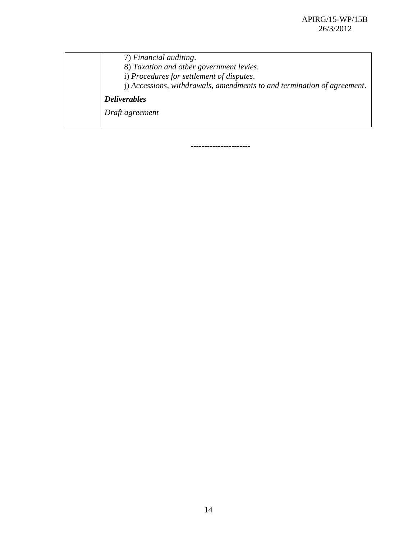7) *Financial auditing*. 8) *Taxation and other government levies*. i) *Procedures for settlement of disputes*. j) *Accessions, withdrawals, amendments to and termination of agreement*. *Deliverables Draft agreement*

**----------------------**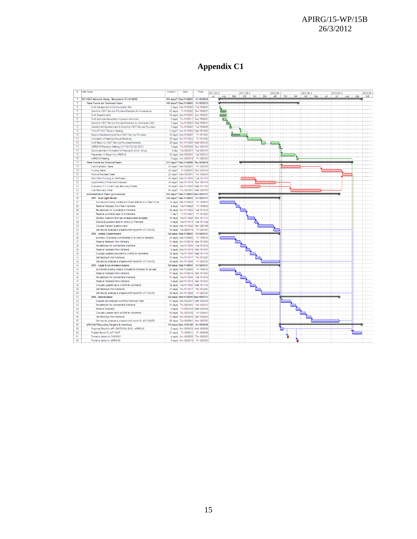## APIRG/15-WP/15B 26/3/2012

# **Appendix C1**

| n.                      | Task Name                                                     | Duration | Start                               | Finish       | 2011 Otr 3 |   |         |     | 2011 Qtr 4 |     |     | 2012 Otr 1 |     |     | 2012 Otr 2 |     | 2012 Qtr 3 |     |     | 2012 Qtr 4 |
|-------------------------|---------------------------------------------------------------|----------|-------------------------------------|--------------|------------|---|---------|-----|------------|-----|-----|------------|-----|-----|------------|-----|------------|-----|-----|------------|
|                         |                                                               |          |                                     |              |            |   | Aug Sep | Oct |            | Nov | Dec | Jan I      | Feb | Mar | Apr May    | Jun | <b>Jul</b> | Aug | Sep | Oct        |
| $\overline{1}$          | AFI VSAT Network Study - Revision A (17-10-2011)              |          | 304 days? Wed 11/08/03 Fri 12/09/28 |              |            |   |         |     |            |     |     |            |     |     |            |     |            |     |     |            |
| $\overline{2}$          | <b>Time Frame for Technical Team</b>                          |          | 169 days? Wed 11/08/03 Fri 12/03/23 |              |            |   |         |     |            |     |     |            |     |     |            |     |            |     |     |            |
| $\overline{\mathbf{3}}$ | Draft Management & Communication Plan                         |          | 2 days Wed 11/08/03 Thu 11/08/04    |              |            |   |         |     |            |     |     |            |     |     |            |     |            |     |     |            |
| $\overline{4}$          | Submit to VSAT Service Providers/Members for Acceptance       |          | 12 days Fri 11/08/05 Sun 11/08/21   |              |            |   |         |     |            |     |     |            |     |     |            |     |            |     |     |            |
| 5                       | <b>Draft Questionnaire</b>                                    |          | 14 days Wed 11/08/03 Sun 11/08/2    |              |            |   |         |     |            |     |     |            |     |     |            |     |            |     |     |            |
| R                       | Draft technical description of present networks               |          | 8 days Thu 11/08/11 Sun 11/08/21    |              |            | Ð |         |     |            |     |     |            |     |     |            |     |            |     |     |            |
| $\overline{7}$          | Submit to VSAT Service Provider/Members for Comments (485)    |          | 7 days Tue 11/08/23 Wed 11/08/3     |              |            |   |         |     |            |     |     |            |     |     |            |     |            |     |     |            |
| <b>R</b>                | Update Draft Questionnaire & Submit to VSAT Service Providers |          | 4 days Thu 11/09/01 Tue 11/09/06    |              |            |   |         |     |            |     |     |            |     |     |            |     |            |     |     |            |
| $\overline{9}$          | First AFI VSAT Review Meeting                                 |          | 3 days? Mon 11/10/03 Wed 11/10/05   |              |            |   |         |     |            |     |     |            |     |     |            |     |            |     |     |            |
| 10                      | Receive feedback/inputs from VSAT Service Providers           |          | 33 days Wed 11/09/07 Fri 11/10/21   |              |            |   |         |     |            |     |     |            |     |     |            |     |            |     |     |            |
| 11                      | Compilation of feedback/Inputs Received                       |          | 30 days Mon 11/10/24 Fri 11/12/02   |              |            |   |         |     |            |     |     |            |     |     |            |     |            |     |     |            |
| $\overline{12}$         | Draft Report to VSAT Service Providers/Members                |          | 28 days Mon 11/12/05 Wed 12/01/25   |              |            |   |         |     |            |     |     |            |     |     |            |     |            |     |     |            |
| 13                      | APIRG/18 Prepatory Meeting (AFI VSAT/2-Feb 2012)              |          | 3 days Thu 12/01/26 Mon 12/01/30    |              |            |   |         |     |            |     |     |            |     |     |            |     |            |     |     |            |
| 14                      | Submit pertinent Information to Financial & Admin. Group      |          | 1 day Tue 12/01/31 Tue 12/01/31     |              |            |   |         |     |            |     |     |            |     |     |            |     |            |     |     |            |
| $\overline{15}$         | Preparation of Report for APIRG/18                            |          | 30 days Wed 12/02/01 Tue 12/03/13   |              |            |   |         |     |            |     |     |            |     |     |            |     |            |     |     |            |
| 16                      | APRG/18 Meeting                                               |          | 5 days Mon 12/03/19 Fri 12/03/23    |              |            |   |         |     |            |     |     |            |     |     |            |     |            |     |     |            |
| 17                      | <b>Time Frame for Financial Team</b>                          |          | 237 days? Wed 11/10/05 Thu 12/08/30 |              |            |   |         |     |            |     |     |            |     |     |            |     |            |     |     |            |
| 18                      | <b>Cost Evaluation Tasks</b>                                  |          | 43 days? Wed 12/02/01               | Fri 12/03/30 |            |   |         |     |            |     |     |            |     |     |            |     |            |     |     |            |
| 19                      | <b>Funding Tasks</b>                                          |          | 42 days? Fri 12/06/01 Mon 12/07/30  |              |            |   |         |     |            |     |     |            |     |     |            |     |            |     |     |            |
| 20                      | Positive Business Case                                        |          | 22 days? Wed 12/08/01 Thu 12/08/30  |              |            |   |         |     |            |     |     |            |     |     |            |     |            |     |     |            |
| 21                      | Short Term Funding for the Project                            |          | 30 days? Wed 11/10/05 Tue 11/11/15  |              |            |   |         |     |            |     |     |            |     |     |            |     |            |     |     |            |
| 22                      | Appointment of Financial Consultant                           |          | 44 days? Wed 11/11/16 Mon 12/01/16  |              |            |   |         |     |            |     |     |            |     |     |            |     |            |     |     |            |
| 23                      | Evaluation of 3 Current Cost Recovery Models                  |          | 41 days? Wed 11/10/05 Wed 11/11/30  |              |            |   |         |     |            |     |     |            |     |     |            |     |            |     |     |            |
| 24                      | Cost Recovery Model                                           |          | 65 days? Thu 12/03/01 Wed 12/05/30  |              |            |   |         |     |            |     |     |            |     |     |            |     |            |     |     |            |
| 25                      | <b>Administrative Team (provisional)</b>                      |          | 255 days? Wed 11/08/03 Mon 12/07/23 |              |            |   |         |     |            |     |     |            |     |     |            |     |            |     |     |            |
| 26                      |                                                               |          | 129 days? Wed 11/08/03 Fri 12/01/27 |              |            |   |         |     |            |     |     |            |     |     |            |     |            |     |     |            |
|                         | WP1 - Oversight Model                                         |          |                                     |              |            |   |         |     |            |     |     |            |     |     |            |     |            |     |     |            |
| 27                      | Summarize Existing models and those referred to in Task Force |          | 34 days Wed 11/08/03 Fri 11/09/16   |              |            |   |         |     |            |     |     |            |     |     |            |     |            |     |     |            |
| 28                      | <b>Receive Feedback from Team Members</b>                     |          | 9 days Tue 11/09/20 Fri 11/09/30    |              |            |   |         |     |            |     |     |            |     |     |            |     |            |     |     |            |
| 29                      | Re-distribute for Comments to Members                         |          | 12 days Mon 11/10/03 Tue 11/10/18   |              |            |   |         |     |            |     |     |            |     |     |            |     |            |     |     |            |
| 30                      | Receive comments back from Members                            |          | 1 day? Fri 11/10/21                 | Fri 11/10/2  |            |   |         |     |            |     |     |            |     |     |            |     |            |     |     |            |
| 31                      | Develop Questionnaire (advantages/disadvantages)              |          | 15 days Tue 11/10/25 Mon 11/11/14   |              |            |   |         |     |            |     |     |            |     |     |            |     |            |     |     |            |
| 32                      | Distribute Questionnaire for editing by Members               |          | 6 days Tue 11/11/15 Tue 11/11/22    |              |            |   |         |     |            |     |     |            |     |     |            |     |            |     |     |            |
| 33                      | <b>Ciculate finalized Questionnaire</b>                       |          | 34 days Wed 11/11/23 Mon 12/01/09   |              |            |   |         |     |            |     |     |            |     |     |            |     |            |     |     |            |
| $\overline{34}$         | Get results, analyse & prepare draft report for AFI VSAT/2    |          | 14 days Tue 12/01/10 Fri 12/01/27   |              |            |   |         |     |            |     |     |            |     |     |            |     |            |     |     |            |
| 35                      | <b>WP2 - States Commitment</b>                                |          | 129 days Wed 11/08/03 Fri 12/01/27  |              |            |   |         |     |            |     |     |            |     |     |            |     |            |     |     |            |
| 36                      | Summary of Existing Commitments & Forward to Members          |          | 34 days Wed 11/08/03 Fri 11/09/16   |              |            |   |         |     |            |     |     |            |     |     |            |     |            |     |     |            |
| 37                      | Receive feedback from Members                                 |          | 11 days Mon 11/09/19 Mon 11/10/03   |              |            |   |         |     |            |     |     |            |     |     |            |     |            |     |     |            |
| $\overline{38}$         | Re-distribute for comments to Members                         |          | 11 days Tue 11/10/04 Tue 11/10/18   |              |            |   |         |     |            |     |     |            |     |     |            |     |            |     |     |            |
| 39                      | Receive Feedback from Members                                 |          | 9 days Wed 11/10/19 Mon 11/10/31    |              |            |   |         |     |            |     |     |            |     |     |            |     |            |     |     |            |
| 40                      | Circulate updated document to ANSPs for comments              |          | 12 days Tue 11/11/01 Wed 11/11/16   |              |            |   |         |     |            |     |     |            |     |     |            |     |            |     |     |            |
| 41                      | Get feedback from Members                                     |          | 11 days Thu 11/11/17 Thu 11/12/01   |              |            |   |         |     |            |     |     |            |     |     |            |     |            |     |     |            |
| 42                      | Get results, analyse & prepare draft report for AFI VSAT/2    |          | 40 days Mon 11/12/05 Fri 12/01/27   |              |            |   |         |     |            |     |     |            |     |     |            |     |            |     |     |            |
| 43                      | WP3 - Legal & Governance Issues                               |          | 129 days Wed 11/08/03 Fri 12/01/27  |              |            |   |         |     |            |     |     |            |     |     |            |     |            |     |     |            |
| 44                      | Summaries Existing Ones & circulate to Members for perusal    |          | 34 days Wed 11/08/03 Fri 11/09/16   |              |            |   |         |     |            |     |     |            |     |     |            |     |            |     |     |            |
| 45                      | Receive Feedback from Members                                 |          | 11 days Mon 11/09/19 Mon 11/10/03   |              |            |   |         |     |            |     |     |            |     |     |            |     |            |     |     |            |
| 46                      | Re-distribute for comments to Members                         |          | 11 days Tue 11/10/04 Tue 11/10/18   |              |            |   |         |     |            |     |     |            |     |     |            |     |            |     |     |            |
| 47                      | <b>Receive Feedback from Members</b>                          |          | 9 days Wed 11/10/19 Mon 11/10/31    |              |            |   |         |     |            |     |     |            |     |     |            |     |            |     |     |            |
| 48                      | Circulate updated list to ANSPs for comments                  |          | 12 days Tue 11/11/01 Wed 11/11/16   |              |            |   |         |     |            |     |     |            |     |     |            |     |            |     |     |            |
| 49                      | Get feedback from Members                                     |          | 11 days Thu 11/11/17 Thu 11/12/01   |              |            |   |         |     |            |     |     |            |     |     |            |     |            |     |     |            |
| 50                      | Get results, analyse & prepare draft report for AFI VSAT/2    |          | 40 days Mon 11/12/05 Fri 12/01/27   |              |            |   |         |     |            |     |     |            |     |     |            |     |            |     |     |            |
| 51                      | WP4 - Maintenance                                             |          | 124 days Wed 12/02/01 Mon 12/07/23  |              |            |   |         |     |            |     |     |            |     |     |            |     |            |     |     |            |
| 52                      | Evaluate and analyse input from Technical Team                |          | 21 days Wed 12/02/01 Wed 12/02/29   |              |            |   |         |     |            |     |     |            |     |     |            |     |            |     |     |            |
| 53                      | Re-distribute for comments to Members                         |          | 11 days Thu 12/03/01 Thu 12/03/15   |              |            |   |         |     |            |     |     |            |     |     |            |     |            |     |     |            |
| 54                      | Receive Feedback                                              |          | 9 days Fri 12/03/16 Wed 12/03/28    |              |            |   |         |     |            |     |     |            |     |     |            |     |            |     |     |            |
| 55                      | Circulate updated list to ANSPs for comments                  |          | 12 days Thu 12/03/29 Fri 12/04/13   |              |            |   |         |     |            |     |     |            |     |     |            |     |            |     |     |            |
| 56                      | Get feedback from Members                                     |          | 11 days Mon 12/04/16 Mon 12/04/30   |              |            |   |         |     |            |     |     |            |     |     |            |     |            |     |     |            |
| 57                      | Get results, analyse & prepare draft report for AFI VSAT/2    |          | 60 days Tue 12/05/01 Mon 12/07/23   |              |            |   |         |     |            |     |     |            |     |     |            |     |            |     |     |            |
| 58                      | AFI VSAT Reporting Targets & meetings                         |          | 175 days Mon 12/01/30 Fri 12/09/28  |              |            |   |         |     |            |     |     |            |     |     |            |     |            |     |     |            |
| 59                      | Progress Report to AFI VSAT/2-Feb 2012 - APIRG/18             |          | 8 days Mon 12/01/30 Wed 12/02/08    |              |            |   |         |     |            |     |     |            |     |     |            |     |            |     |     |            |
| 60                      | Finalise Report for AFI VSAT                                  |          | 21 days Fri 12/08/31 Fri 12/09/28   |              |            |   |         |     |            |     |     |            |     |     |            |     |            |     |     |            |
| 61                      | Tentative dates for CNS/SG/5                                  |          | 4 days Mon 12/02/20 Thu 12/02/23    |              |            |   |         |     |            |     |     |            |     |     |            |     |            |     |     |            |
| 62                      | Tentative dates for APIRG/18                                  |          | 5 days Mon 12/03/19   Fri 12/03/23  |              |            |   |         |     |            |     |     |            |     |     |            |     |            |     |     |            |
|                         |                                                               |          |                                     |              |            |   |         |     |            |     |     |            |     |     |            |     |            |     |     |            |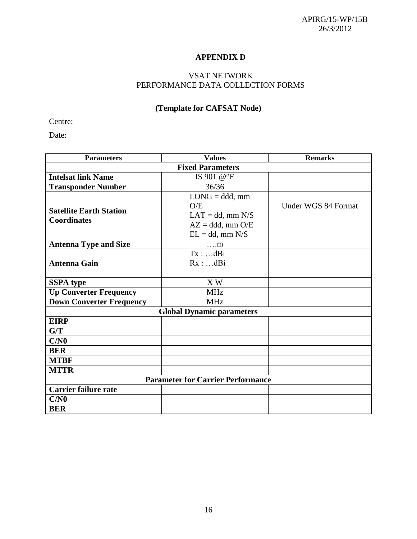# **APPENDIX D**

## VSAT NETWORK PERFORMANCE DATA COLLECTION FORMS

# **(Template for CAFSAT Node)**

Centre:

Date:

| <b>Parameters</b>               | <b>Values</b>                            | <b>Remarks</b>      |
|---------------------------------|------------------------------------------|---------------------|
|                                 | <b>Fixed Parameters</b>                  |                     |
| <b>Intelsat link Name</b>       | IS 901 @°E                               |                     |
| <b>Transponder Number</b>       | 36/36                                    |                     |
|                                 | $LONG = ddd, mm$                         |                     |
| <b>Satellite Earth Station</b>  | O/E                                      | Under WGS 84 Format |
| <b>Coordinates</b>              | $LAT = dd, mm N/S$                       |                     |
|                                 | $AZ = ddd, mm O/E$                       |                     |
|                                 | $EL = dd$ , mm $N/S$                     |                     |
| <b>Antenna Type and Size</b>    | $\dots$ m                                |                     |
|                                 | Tx :  dBi                                |                     |
| <b>Antenna Gain</b>             | Rx: dBi                                  |                     |
|                                 |                                          |                     |
| <b>SSPA</b> type                | X W                                      |                     |
| <b>Up Converter Frequency</b>   | <b>MHz</b>                               |                     |
| <b>Down Converter Frequency</b> | <b>MHz</b>                               |                     |
|                                 | <b>Global Dynamic parameters</b>         |                     |
| <b>EIRP</b>                     |                                          |                     |
| G/T                             |                                          |                     |
| C/N0                            |                                          |                     |
| <b>BER</b>                      |                                          |                     |
| <b>MTBF</b>                     |                                          |                     |
| <b>MTTR</b>                     |                                          |                     |
|                                 | <b>Parameter for Carrier Performance</b> |                     |
| <b>Carrier failure rate</b>     |                                          |                     |
| C/N0                            |                                          |                     |
| <b>BER</b>                      |                                          |                     |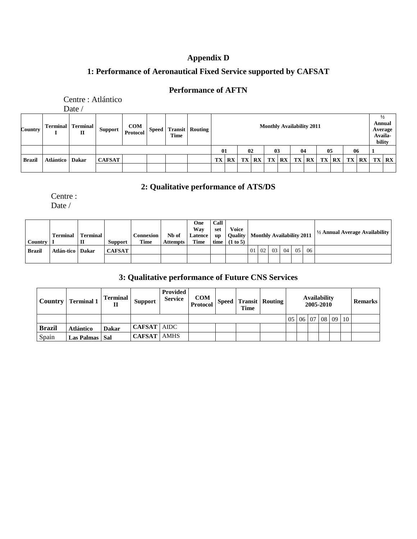# **Appendix D**

# **1: Performance of Aeronautical Fixed Service supported by CAFSAT**

# **Performance of AFTN**

|               |           | Centre : Atlántico                      |                |                                                                                                                                                         |  |  |  |           |                        |  |                            |    |                         |              |    |                                                                |    |  |              |    |           |
|---------------|-----------|-----------------------------------------|----------------|---------------------------------------------------------------------------------------------------------------------------------------------------------|--|--|--|-----------|------------------------|--|----------------------------|----|-------------------------|--------------|----|----------------------------------------------------------------|----|--|--------------|----|-----------|
| Country       |           | Date /<br><b>Terminal</b> Terminal<br>п | <b>Support</b> | $\begin{array}{ c c }\n\hline\n\textbf{COM} & \textbf{Speed}\n\end{array}$<br><b>Monthly Availability 2011</b><br><b>Transit</b> Routing<br><b>Time</b> |  |  |  |           |                        |  |                            |    |                         |              |    | $\frac{1}{2}$<br><b>Annual</b><br>Average<br>Availa-<br>bility |    |  |              |    |           |
|               |           |                                         |                |                                                                                                                                                         |  |  |  |           |                        |  | 02<br>05<br>01<br>03<br>04 |    |                         |              | 06 |                                                                |    |  |              |    |           |
| <b>Brazil</b> | Atlántico | <b>Dakar</b>                            | <b>CAFSAT</b>  |                                                                                                                                                         |  |  |  | <b>TX</b> | $\mathbf{R}\mathbf{X}$ |  | <b>TX RX</b>               | TX | $\mathbf{R} \mathbf{X}$ | <b>TX</b> RX |    | TX                                                             | RX |  | <b>TX RX</b> | TX | <b>RX</b> |

# **2: Qualitative performance of ATS/DS**

Centre :

Date /

| <b>Country</b> | <b>Terminal</b>    | <b>Terminal</b> | Support       | Connexion ।<br>Time | Nb of<br><b>Attempts</b> | One<br>Wav<br><b>Latence</b><br><b>Time</b> | Call<br>set<br><b>up</b> | Voice<br><b>Quality   Monthly Availability 2011</b><br>time $(1 to 5)$ |           |                 |    |       | $\frac{1}{2}$ Annual Average Availability |
|----------------|--------------------|-----------------|---------------|---------------------|--------------------------|---------------------------------------------|--------------------------|------------------------------------------------------------------------|-----------|-----------------|----|-------|-------------------------------------------|
| Brazil         | Atlán-tico   Dakar |                 | <b>CAFSAT</b> |                     |                          |                                             |                          |                                                                        | $01 \ 02$ | 03 <sup>1</sup> | 04 | 05 06 |                                           |
|                |                    |                 |               |                     |                          |                                             |                          |                                                                        |           |                 |    |       |                                           |

# **3: Qualitative performance of Future CNS Services**

|               | Country   Terminal 1 | <b>Terminal</b><br>п | <b>Support</b>       | <b>Provided</b><br><b>Service</b> | <b>COM</b> | <b>Time</b> | $\begin{array}{c c c}\n\hline\n\end{array} \begin{array}{c c c}\n\hline\n\end{array} \begin{array}{c c c}\n\hline\n\end{array} \begin{array}{c c c}\n\hline\n\end{array} \begin{array}{c c c}\n\hline\n\end{array} \begin{array}{c c}\n\hline\n\end{array} \begin{array}{c c}\n\hline\n\end{array} \begin{array}{c c}\n\hline\n\end{array} \begin{array}{c c}\n\hline\n\end{array} \begin{array}{c c}\n\hline\n\end{array} \begin{array}{c c}\n\hline\n\end{array} \$ |     |  |  | <b>Availability</b><br>2005-2010 |  |    |  |  |  |
|---------------|----------------------|----------------------|----------------------|-----------------------------------|------------|-------------|-----------------------------------------------------------------------------------------------------------------------------------------------------------------------------------------------------------------------------------------------------------------------------------------------------------------------------------------------------------------------------------------------------------------------------------------------------------------------|-----|--|--|----------------------------------|--|----|--|--|--|
|               |                      |                      |                      |                                   |            |             |                                                                                                                                                                                                                                                                                                                                                                                                                                                                       | -05 |  |  | 06 07 08 09                      |  | 10 |  |  |  |
| <b>Brazil</b> | <b>Atlántico</b>     | <b>Dakar</b>         | <b>CAFSAT   AIDC</b> |                                   |            |             |                                                                                                                                                                                                                                                                                                                                                                                                                                                                       |     |  |  |                                  |  |    |  |  |  |
| Spain         | Las Palmas   Sal     |                      | <b>CAFSAT</b>   AMHS |                                   |            |             |                                                                                                                                                                                                                                                                                                                                                                                                                                                                       |     |  |  |                                  |  |    |  |  |  |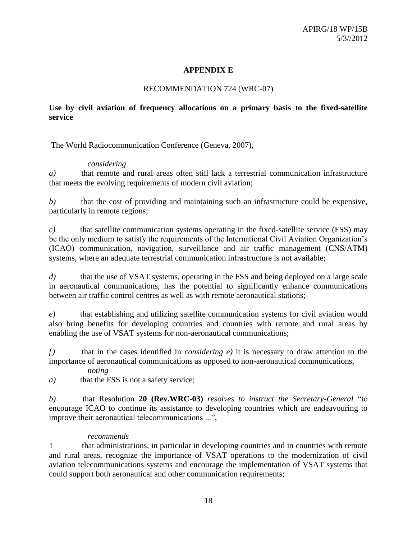## **APPENDIX E**

### RECOMMENDATION 724 (WRC-07)

## **Use by civil aviation of frequency allocations on a primary basis to the fixed-satellite service**

The World Radiocommunication Conference (Geneva, 2007),

### *considering*

*a)* that remote and rural areas often still lack a terrestrial communication infrastructure that meets the evolving requirements of modern civil aviation;

*b*) that the cost of providing and maintaining such an infrastructure could be expensive, particularly in remote regions;

*c)* that satellite communication systems operating in the fixed-satellite service (FSS) may be the only medium to satisfy the requirements of the International Civil Aviation Organization's (ICAO) communication, navigation, surveillance and air traffic management (CNS/ATM) systems, where an adequate terrestrial communication infrastructure is not available;

*d*) that the use of VSAT systems, operating in the FSS and being deployed on a large scale in aeronautical communications, has the potential to significantly enhance communications between air traffic control centres as well as with remote aeronautical stations;

*e)* that establishing and utilizing satellite communication systems for civil aviation would also bring benefits for developing countries and countries with remote and rural areas by enabling the use of VSAT systems for non-aeronautical communications;

*f)* that in the cases identified in *considering e)* it is necessary to draw attention to the importance of aeronautical communications as opposed to non-aeronautical communications,

*noting*

*a)* that the FSS is not a safety service;

*b)* that Resolution **20 (Rev.WRC-03)** *resolves to instruct the Secretary-General* "to encourage ICAO to continue its assistance to developing countries which are endeavouring to improve their aeronautical telecommunications ...",

### *recommends*

1 that administrations, in particular in developing countries and in countries with remote and rural areas, recognize the importance of VSAT operations to the modernization of civil aviation telecommunications systems and encourage the implementation of VSAT systems that could support both aeronautical and other communication requirements;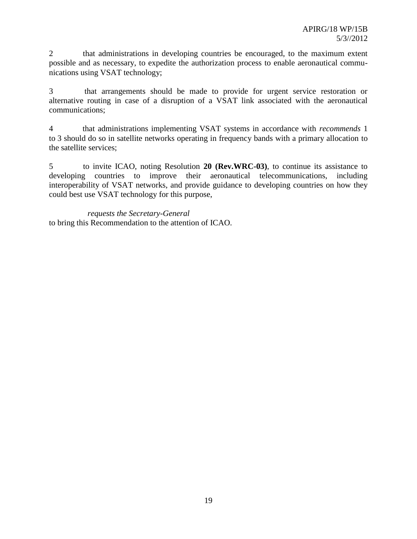2 that administrations in developing countries be encouraged, to the maximum extent possible and as necessary, to expedite the authorization process to enable aeronautical communications using VSAT technology;

3 that arrangements should be made to provide for urgent service restoration or alternative routing in case of a disruption of a VSAT link associated with the aeronautical communications;

4 that administrations implementing VSAT systems in accordance with *recommends* 1 to 3 should do so in satellite networks operating in frequency bands with a primary allocation to the satellite services;

5 to invite ICAO, noting Resolution **20 (Rev.WRC-03)**, to continue its assistance to developing countries to improve their aeronautical telecommunications, including interoperability of VSAT networks, and provide guidance to developing countries on how they could best use VSAT technology for this purpose,

*requests the Secretary-General* to bring this Recommendation to the attention of ICAO.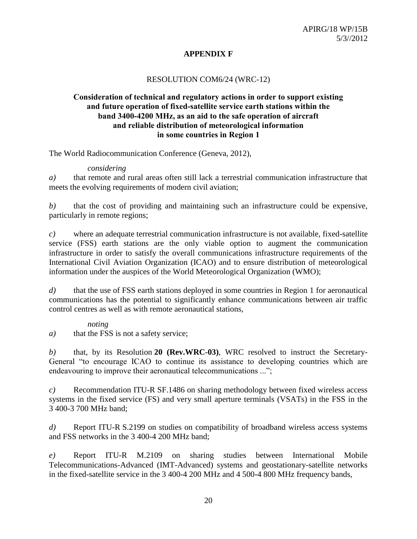# **APPENDIX F**

## RESOLUTION COM6/24 (WRC-12)

## **Consideration of technical and regulatory actions in order to support existing and future operation of fixed-satellite service earth stations within the band 3400-4200 MHz, as an aid to the safe operation of aircraft and reliable distribution of meteorological information in some countries in Region 1**

The World Radiocommunication Conference (Geneva, 2012),

### *considering*

*a)* that remote and rural areas often still lack a terrestrial communication infrastructure that meets the evolving requirements of modern civil aviation;

*b)* that the cost of providing and maintaining such an infrastructure could be expensive, particularly in remote regions;

*c)* where an adequate terrestrial communication infrastructure is not available, fixed-satellite service (FSS) earth stations are the only viable option to augment the communication infrastructure in order to satisfy the overall communications infrastructure requirements of the International Civil Aviation Organization (ICAO) and to ensure distribution of meteorological information under the auspices of the World Meteorological Organization (WMO);

*d)* that the use of FSS earth stations deployed in some countries in Region 1 for aeronautical communications has the potential to significantly enhance communications between air traffic control centres as well as with remote aeronautical stations,

## *noting*

*a*) that the FSS is not a safety service;

*b)* that, by its Resolution **20 (Rev.WRC-03)**, WRC resolved to instruct the Secretary-General "to encourage ICAO to continue its assistance to developing countries which are endeavouring to improve their aeronautical telecommunications ...";

*c)* Recommendation ITU-R SF.1486 on sharing methodology between fixed wireless access systems in the fixed service (FS) and very small aperture terminals (VSATs) in the FSS in the 3 400-3 700 MHz band;

*d)* Report ITU-R S.2199 on studies on compatibility of broadband wireless access systems and FSS networks in the 3 400-4 200 MHz band;

*e)* Report ITU-R M.2109 on sharing studies between International Mobile Telecommunications-Advanced (IMT-Advanced) systems and geostationary-satellite networks in the fixed-satellite service in the 3 400-4 200 MHz and 4 500-4 800 MHz frequency bands,